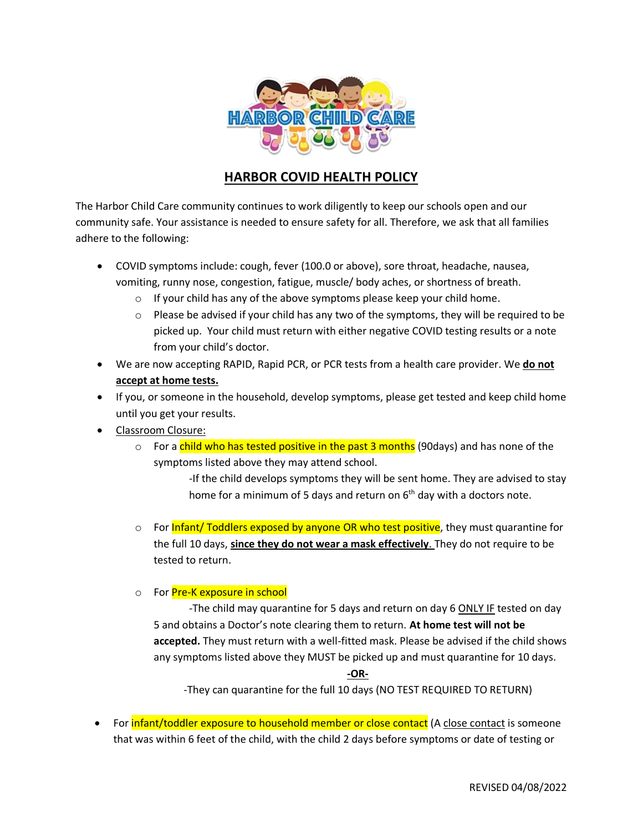

## **HARBOR COVID HEALTH POLICY**

The Harbor Child Care community continues to work diligently to keep our schools open and our community safe. Your assistance is needed to ensure safety for all. Therefore, we ask that all families adhere to the following:

- COVID symptoms include: cough, fever (100.0 or above), sore throat, headache, nausea, vomiting, runny nose, congestion, fatigue, muscle/ body aches, or shortness of breath.
	- o If your child has any of the above symptoms please keep your child home.
	- $\circ$  Please be advised if your child has any two of the symptoms, they will be required to be picked up. Your child must return with either negative COVID testing results or a note from your child's doctor.
- We are now accepting RAPID, Rapid PCR, or PCR tests from a health care provider. We **do not accept at home tests.**
- If you, or someone in the household, develop symptoms, please get tested and keep child home until you get your results.
- Classroom Closure:
	- $\circ$  For a child who has tested positive in the past 3 months (90days) and has none of the symptoms listed above they may attend school.

-If the child develops symptoms they will be sent home. They are advised to stay home for a minimum of 5 days and return on  $6<sup>th</sup>$  day with a doctors note.

- $\circ$  For Infant/ Toddlers exposed by anyone OR who test positive, they must quarantine for the full 10 days, **since they do not wear a mask effectively**. They do not require to be tested to return.
- o For Pre-K exposure in school

-The child may quarantine for 5 days and return on day 6 ONLY IF tested on day 5 and obtains a Doctor's note clearing them to return. **At home test will not be accepted.** They must return with a well-fitted mask. Please be advised if the child shows any symptoms listed above they MUST be picked up and must quarantine for 10 days.

## **-OR-**

-They can quarantine for the full 10 days (NO TEST REQUIRED TO RETURN)

For **infant/toddler exposure to household member or close contact** (A close contact is someone that was within 6 feet of the child, with the child 2 days before symptoms or date of testing or